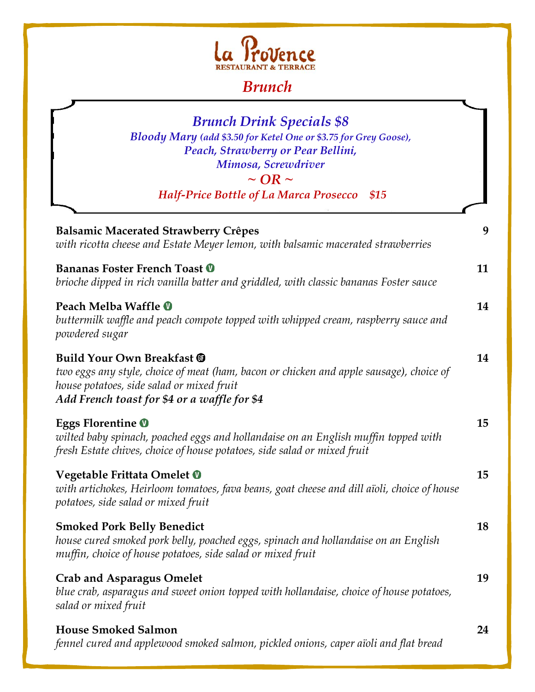

## *Brunch*

| <b>Brunch Drink Specials \$8</b><br>Bloody Mary (add \$3.50 for Ketel One or \$3.75 for Grey Goose),<br>Peach, Strawberry or Pear Bellini,<br>Mimosa, Screwdriver<br>$\sim$ OR $\sim$<br><b>Half-Price Bottle of La Marca Prosecco</b><br>\$15 |    |
|------------------------------------------------------------------------------------------------------------------------------------------------------------------------------------------------------------------------------------------------|----|
| <b>Balsamic Macerated Strawberry Crêpes</b><br>with ricotta cheese and Estate Meyer lemon, with balsamic macerated strawberries                                                                                                                | 9  |
| Bananas Foster French Toast <sup>®</sup><br>brioche dipped in rich vanilla batter and griddled, with classic bananas Foster sauce                                                                                                              | 11 |
| Peach Melba Waffle <b>O</b><br>buttermilk waffle and peach compote topped with whipped cream, raspberry sauce and<br>powdered sugar                                                                                                            | 14 |
| <b>Build Your Own Breakfast ®</b><br>two eggs any style, choice of meat (ham, bacon or chicken and apple sausage), choice of<br>house potatoes, side salad or mixed fruit<br>Add French toast for \$4 or a waffle for \$4                      | 14 |
| <b>Eggs Florentine O</b><br>wilted baby spinach, poached eggs and hollandaise on an English muffin topped with<br>fresh Estate chives, choice of house potatoes, side salad or mixed fruit                                                     | 15 |
| Vegetable Frittata Omelet <sup>0</sup><br>with artichokes, Heirloom tomatoes, fava beans, goat cheese and dill aïoli, choice of house<br>potatoes, side salad or mixed fruit                                                                   | 15 |
| <b>Smoked Pork Belly Benedict</b><br>house cured smoked pork belly, poached eggs, spinach and hollandaise on an English<br>muffin, choice of house potatoes, side salad or mixed fruit                                                         | 18 |
| <b>Crab and Asparagus Omelet</b><br>blue crab, asparagus and sweet onion topped with hollandaise, choice of house potatoes,<br>salad or mixed fruit                                                                                            | 19 |
| <b>House Smoked Salmon</b><br>fennel cured and applewood smoked salmon, pickled onions, caper aïoli and flat bread                                                                                                                             | 24 |